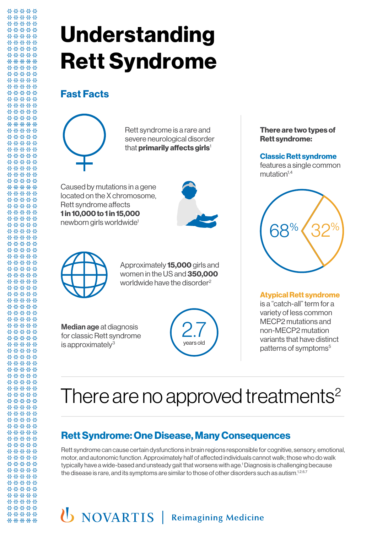# **Understanding Rett Syndrome**

### **Fast Facts**

Rett syndrome is a rare and Rett syndrome is a rare and<br>severe neurological disorder<br>that **primarily affects girls**! that **primarily affects girls**'

Caused by mutations in a gene located on the X chromosome, Rett syndrome affects **1 in 10,000 to 1 in 15,000** newborn girls worldwide<sup>1</sup><br>





Approximately **15,000** girls and women in the US and **350,000** worldwide have the disorder $2$ oximate<br>en in the<br>dwide ha in the LIS and **350** 

Median age at diagnosis for classic Rett syndrome is approximately $3$ 



**There are two types of Rett syndrome:**

**Classic Rett syndrome** features a single common  $mutation<sup>1,4</sup>$ 



**Atypical Rett syndrome** is a "catch-all" term for a variety of less common MECP2 mutations and non-MECP2 mutation variants that have distinct patterns of symptoms<sup>5</sup>

# There are no approved treatments<sup>2</sup>

## **Rett Syndrome: One Disease, Many Consequences**  $\overline{\phantom{a}}$

Rett syndrome can cause certain dysfunctions in brain regions responsible for cognitive, sensory, emotional, motor, and autonomic function. Approximately half of affected individuals cannot walk; those who do walk typically have a wide-based and unsteady gait that worsens with age.' Diagnosis is challenging because the disease is rare, and its symptoms are similar to those of other disorders such as autism.<sup>1,2,6,7</sup>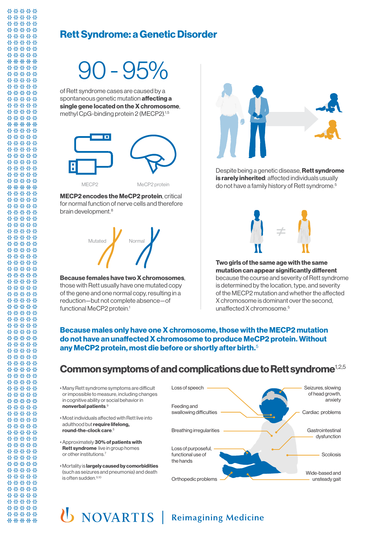### **Rett Syndrome: a Genetic Disorder**

# $-95\%$

years old spontaneous genetic mutation **affecting :<br>single gene located on the X chromoso**<br>methyl CpG-binding protein 2 (MECP2).<sup>1,5</sup> of Rett syndrome cases are caused by a spontaneous genetic mutation **affecting a single gene located on the X chromosome**,



**MECP2 encodes the MeCP2 protein**, critical for normal function of nerve cells and therefore brain development.<sup>8</sup>



**Because females have two X chromosomes**, those with Rett usually have one mutated copy of the gene and one normal copy, resulting in a reduction—but not complete absence—of functional MeCP2 protein.<sup>1</sup>



Despite being a genetic disease, **Rett syndrome is rarely inherited**: affected individuals usually do not have a family history of Rett syndrome.5



**Two girls of the same age with the same mutation can appear significantly different**  because the course and severity of Rett syndrome is determined by the location, type, and severity of the MECP2 mutation and whether the affected X chromosome is dominant over the second, unaffected X chromosome.5

#### **Because males only have one X chromosome, those with the MECP2 mutation do not have an unaffected X chromosome to produce MeCP2 protein. Without any MeCP2 protein, most die before or shortly after birth.**<sup>5</sup>

### **Common symptoms of and complications due to Rett syndrome**1,2,5



## U NOVARTIS | Reimagining Medicine